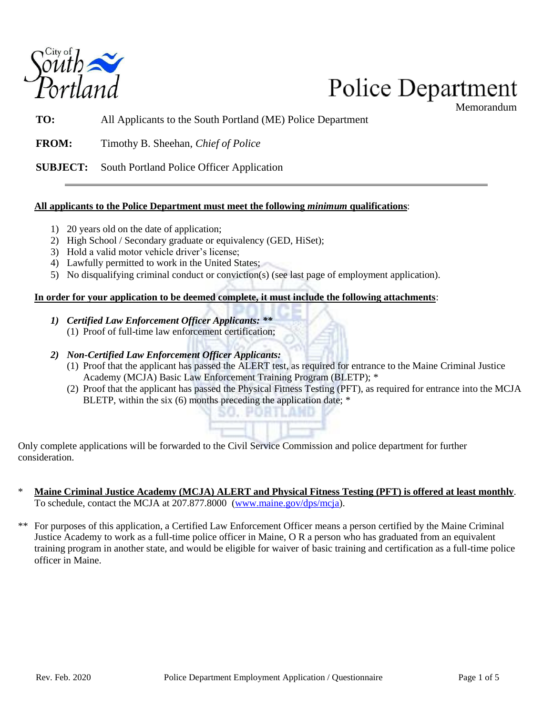

## **Police Department**

Memorandum

**TO:** All Applicants to the South Portland (ME) Police Department

**FROM:** Timothy B. Sheehan, *Chief of Police*

**SUBJECT:** South Portland Police Officer Application

## **All applicants to the Police Department must meet the following** *minimum* **qualifications**:

- 1) 20 years old on the date of application;
- 2) High School / Secondary graduate or equivalency (GED, HiSet);
- 3) Hold a valid motor vehicle driver's license;
- 4) Lawfully permitted to work in the United States;
- 5) No disqualifying criminal conduct or conviction(s) (see last page of employment application).

## **In order for your application to be deemed complete, it must include the following attachments**:

- *1) Certified Law Enforcement Officer Applicants: \*\**
	- (1) Proof of full-time law enforcement certification;
- *2) Non-Certified Law Enforcement Officer Applicants:*
	- (1) Proof that the applicant has passed the ALERT test, as required for entrance to the Maine Criminal Justice Academy (MCJA) Basic Law Enforcement Training Program (BLETP); \*
	- (2) Proof that the applicant has passed the Physical Fitness Testing (PFT), as required for entrance into the MCJA BLETP, within the six (6) months preceding the application date; \*

Only complete applications will be forwarded to the Civil Service Commission and police department for further consideration.

SO. PORT

- \* **Maine Criminal Justice Academy (MCJA) ALERT and Physical Fitness Testing (PFT) is offered at least monthly**. To schedule, contact the MCJA at 207.877.8000 (www.maine.gov/dps/mcja).
- \*\* For purposes of this application, a Certified Law Enforcement Officer means a person certified by the Maine Criminal Justice Academy to work as a full-time police officer in Maine, O R a person who has graduated from an equivalent training program in another state, and would be eligible for waiver of basic training and certification as a full-time police officer in Maine.